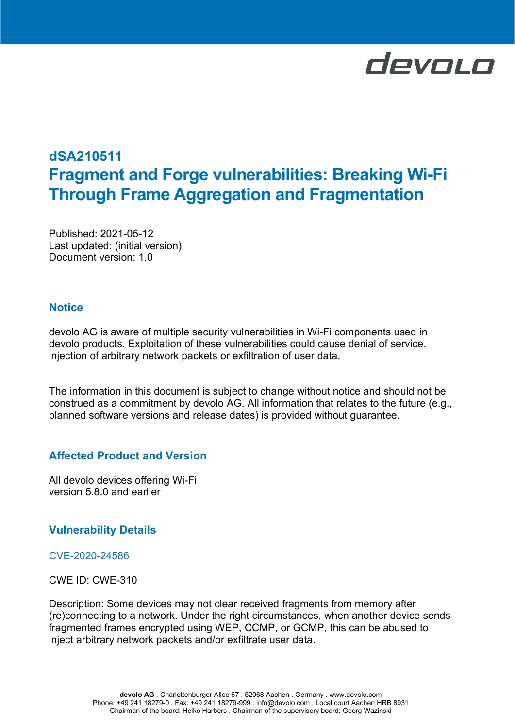# devolo

# dSA210511 Fragment and Forge vulnerabilities: Breaking Wi-Fi Through Frame Aggregation and Fragmentation

Published: 2021-05-12 Last updated: (initial version) Document version: 1.0

# **Notice**

devolo AG is aware of multiple security vulnerabilities in Wi-Fi components used in devolo products. Exploitation of these vulnerabilities could cause denial of service, injection of arbitrary network packets or exfiltration of user data.

The information in this document is subject to change without notice and should not be construed as a commitment by devolo AG. All information that relates to the future (e.g., planned software versions and release dates) is provided without guarantee.

# Affected Product and Version

All devolo devices offering Wi-Fi version 5.8.0 and earlier

# Vulnerability Details

# CVE-2020-24586

CWE ID: CWE-310

Description: Some devices may not clear received fragments from memory after (re)connecting to a network. Under the right circumstances, when another device sends fragmented frames encrypted using WEP, CCMP, or GCMP, this can be abused to inject arbitrary network packets and/or exfiltrate user data.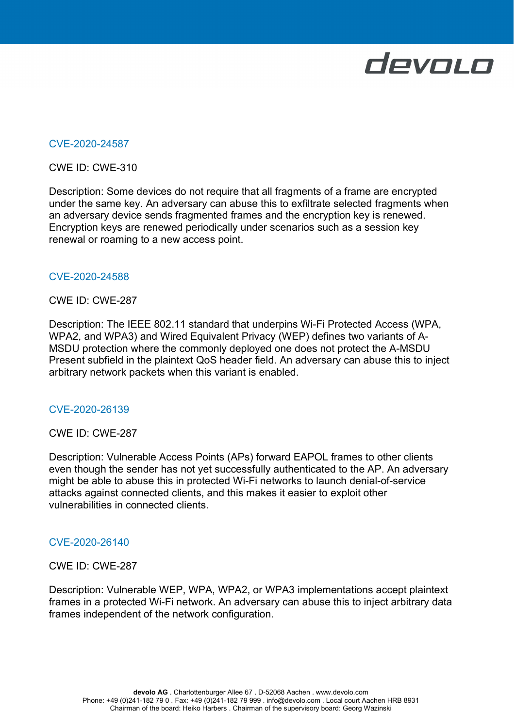

### CVE-2020-24587

#### CWE ID: CWE-310

Description: Some devices do not require that all fragments of a frame are encrypted under the same key. An adversary can abuse this to exfiltrate selected fragments when an adversary device sends fragmented frames and the encryption key is renewed. Encryption keys are renewed periodically under scenarios such as a session key renewal or roaming to a new access point.

#### CVE-2020-24588

#### CWE ID: CWE-287

Description: The IEEE 802.11 standard that underpins Wi-Fi Protected Access (WPA, WPA2, and WPA3) and Wired Equivalent Privacy (WEP) defines two variants of A-MSDU protection where the commonly deployed one does not protect the A-MSDU Present subfield in the plaintext QoS header field. An adversary can abuse this to inject arbitrary network packets when this variant is enabled.

#### CVE-2020-26139

#### CWE ID: CWE-287

Description: Vulnerable Access Points (APs) forward EAPOL frames to other clients even though the sender has not yet successfully authenticated to the AP. An adversary might be able to abuse this in protected Wi-Fi networks to launch denial-of-service attacks against connected clients, and this makes it easier to exploit other vulnerabilities in connected clients.

#### CVE-2020-26140

#### CWE ID: CWE-287

Description: Vulnerable WEP, WPA, WPA2, or WPA3 implementations accept plaintext frames in a protected Wi-Fi network. An adversary can abuse this to inject arbitrary data frames independent of the network configuration.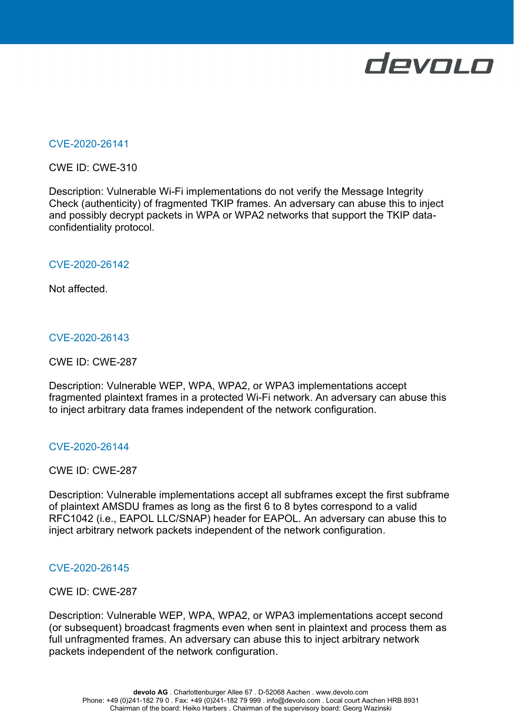

#### CVE-2020-26141

CWE ID: CWE-310

Description: Vulnerable Wi-Fi implementations do not verify the Message Integrity Check (authenticity) of fragmented TKIP frames. An adversary can abuse this to inject and possibly decrypt packets in WPA or WPA2 networks that support the TKIP dataconfidentiality protocol.

#### CVE-2020-26142

Not affected.

#### CVE-2020-26143

CWE ID: CWE-287

Description: Vulnerable WEP, WPA, WPA2, or WPA3 implementations accept fragmented plaintext frames in a protected Wi-Fi network. An adversary can abuse this to inject arbitrary data frames independent of the network configuration.

#### CVE-2020-26144

CWE ID: CWE-287

Description: Vulnerable implementations accept all subframes except the first subframe of plaintext AMSDU frames as long as the first 6 to 8 bytes correspond to a valid RFC1042 (i.e., EAPOL LLC/SNAP) header for EAPOL. An adversary can abuse this to inject arbitrary network packets independent of the network configuration.

#### CVE-2020-26145

CWE ID: CWE-287

Description: Vulnerable WEP, WPA, WPA2, or WPA3 implementations accept second (or subsequent) broadcast fragments even when sent in plaintext and process them as full unfragmented frames. An adversary can abuse this to inject arbitrary network packets independent of the network configuration.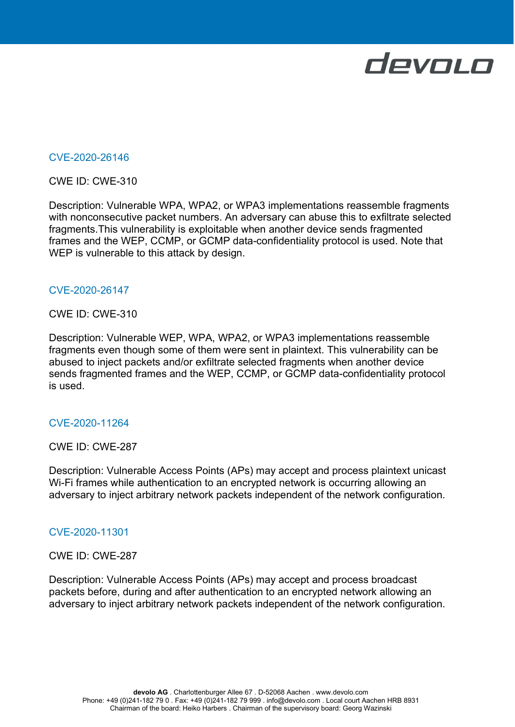

#### CVE-2020-26146

CWE ID: CWE-310

Description: Vulnerable WPA, WPA2, or WPA3 implementations reassemble fragments with nonconsecutive packet numbers. An adversary can abuse this to exfiltrate selected fragments.This vulnerability is exploitable when another device sends fragmented frames and the WEP, CCMP, or GCMP data-confidentiality protocol is used. Note that WEP is vulnerable to this attack by design.

#### CVE-2020-26147

#### CWE ID: CWE-310

Description: Vulnerable WEP, WPA, WPA2, or WPA3 implementations reassemble fragments even though some of them were sent in plaintext. This vulnerability can be abused to inject packets and/or exfiltrate selected fragments when another device sends fragmented frames and the WEP, CCMP, or GCMP data-confidentiality protocol is used.

#### CVE-2020-11264

#### CWE ID: CWE-287

Description: Vulnerable Access Points (APs) may accept and process plaintext unicast Wi-Fi frames while authentication to an encrypted network is occurring allowing an adversary to inject arbitrary network packets independent of the network configuration.

#### CVE-2020-11301

#### CWE ID: CWE-287

Description: Vulnerable Access Points (APs) may accept and process broadcast packets before, during and after authentication to an encrypted network allowing an adversary to inject arbitrary network packets independent of the network configuration.